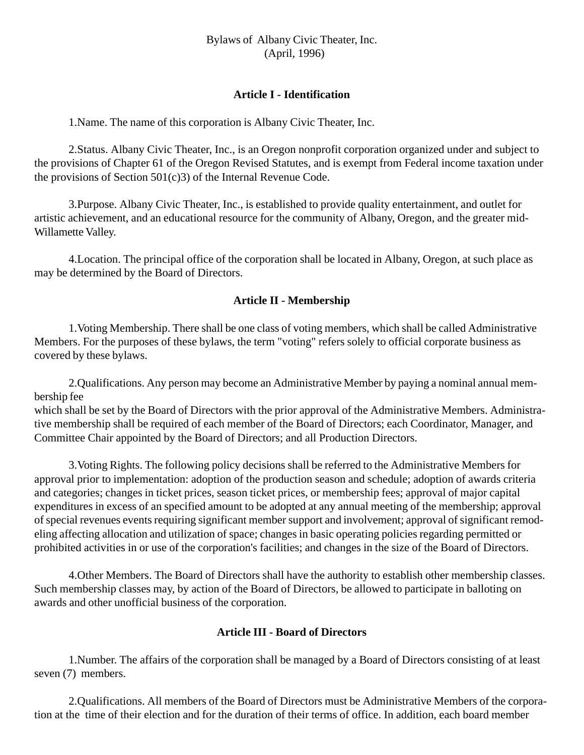Bylaws of Albany Civic Theater, Inc. (April, 1996)

#### **Article I - Identification**

1.Name. The name of this corporation is Albany Civic Theater, Inc.

2.Status. Albany Civic Theater, Inc., is an Oregon nonprofit corporation organized under and subject to the provisions of Chapter 61 of the Oregon Revised Statutes, and is exempt from Federal income taxation under the provisions of Section  $501(c)3$  of the Internal Revenue Code.

3.Purpose. Albany Civic Theater, Inc., is established to provide quality entertainment, and outlet for artistic achievement, and an educational resource for the community of Albany, Oregon, and the greater mid-Willamette Valley.

4.Location. The principal office of the corporation shall be located in Albany, Oregon, at such place as may be determined by the Board of Directors.

# **Article II - Membership**

1.Voting Membership. There shall be one class of voting members, which shall be called Administrative Members. For the purposes of these bylaws, the term "voting" refers solely to official corporate business as covered by these bylaws.

2.Qualifications. Any person may become an Administrative Member by paying a nominal annual membership fee

which shall be set by the Board of Directors with the prior approval of the Administrative Members. Administrative membership shall be required of each member of the Board of Directors; each Coordinator, Manager, and Committee Chair appointed by the Board of Directors; and all Production Directors.

3.Voting Rights. The following policy decisions shall be referred to the Administrative Members for approval prior to implementation: adoption of the production season and schedule; adoption of awards criteria and categories; changes in ticket prices, season ticket prices, or membership fees; approval of major capital expenditures in excess of an specified amount to be adopted at any annual meeting of the membership; approval of special revenues events requiring significant member support and involvement; approval of significant remodeling affecting allocation and utilization of space; changes in basic operating policies regarding permitted or prohibited activities in or use of the corporation's facilities; and changes in the size of the Board of Directors.

4.Other Members. The Board of Directors shall have the authority to establish other membership classes. Such membership classes may, by action of the Board of Directors, be allowed to participate in balloting on awards and other unofficial business of the corporation.

#### **Article III - Board of Directors**

1.Number. The affairs of the corporation shall be managed by a Board of Directors consisting of at least seven (7) members.

2.Qualifications. All members of the Board of Directors must be Administrative Members of the corporation at the time of their election and for the duration of their terms of office. In addition, each board member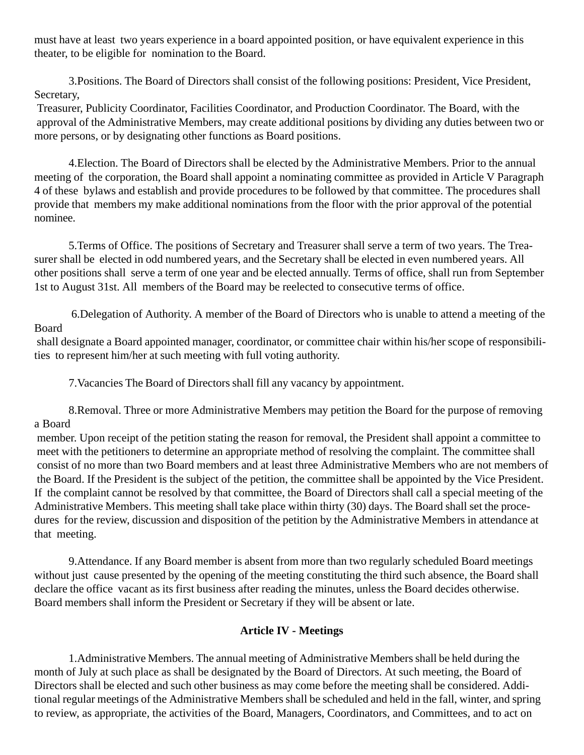must have at least two years experience in a board appointed position, or have equivalent experience in this theater, to be eligible for nomination to the Board.

3.Positions. The Board of Directors shall consist of the following positions: President, Vice President, Secretary,

 Treasurer, Publicity Coordinator, Facilities Coordinator, and Production Coordinator. The Board, with the approval of the Administrative Members, may create additional positions by dividing any duties between two or more persons, or by designating other functions as Board positions.

4.Election. The Board of Directors shall be elected by the Administrative Members. Prior to the annual meeting of the corporation, the Board shall appoint a nominating committee as provided in Article V Paragraph 4 of these bylaws and establish and provide procedures to be followed by that committee. The procedures shall provide that members my make additional nominations from the floor with the prior approval of the potential nominee.

5.Terms of Office. The positions of Secretary and Treasurer shall serve a term of two years. The Treasurer shall be elected in odd numbered years, and the Secretary shall be elected in even numbered years. All other positions shall serve a term of one year and be elected annually. Terms of office, shall run from September 1st to August 31st. All members of the Board may be reelected to consecutive terms of office.

 6.Delegation of Authority. A member of the Board of Directors who is unable to attend a meeting of the Board

 shall designate a Board appointed manager, coordinator, or committee chair within his/her scope of responsibilities to represent him/her at such meeting with full voting authority.

7.Vacancies The Board of Directors shall fill any vacancy by appointment.

8.Removal. Three or more Administrative Members may petition the Board for the purpose of removing a Board

 member. Upon receipt of the petition stating the reason for removal, the President shall appoint a committee to meet with the petitioners to determine an appropriate method of resolving the complaint. The committee shall consist of no more than two Board members and at least three Administrative Members who are not members of the Board. If the President is the subject of the petition, the committee shall be appointed by the Vice President. If the complaint cannot be resolved by that committee, the Board of Directors shall call a special meeting of the Administrative Members. This meeting shall take place within thirty (30) days. The Board shall set the procedures for the review, discussion and disposition of the petition by the Administrative Members in attendance at that meeting.

9.Attendance. If any Board member is absent from more than two regularly scheduled Board meetings without just cause presented by the opening of the meeting constituting the third such absence, the Board shall declare the office vacant as its first business after reading the minutes, unless the Board decides otherwise. Board members shall inform the President or Secretary if they will be absent or late.

# **Article IV - Meetings**

1.Administrative Members. The annual meeting of Administrative Members shall be held during the month of July at such place as shall be designated by the Board of Directors. At such meeting, the Board of Directors shall be elected and such other business as may come before the meeting shall be considered. Additional regular meetings of the Administrative Members shall be scheduled and held in the fall, winter, and spring to review, as appropriate, the activities of the Board, Managers, Coordinators, and Committees, and to act on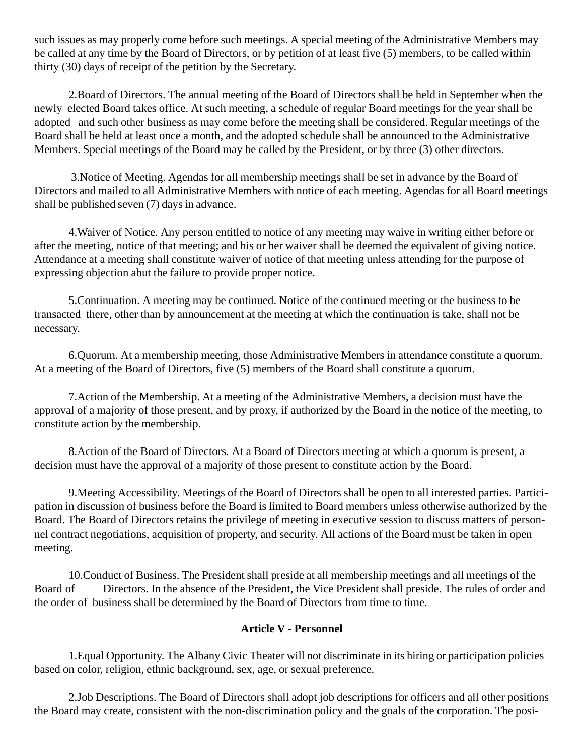such issues as may properly come before such meetings. A special meeting of the Administrative Members may be called at any time by the Board of Directors, or by petition of at least five (5) members, to be called within thirty (30) days of receipt of the petition by the Secretary.

2.Board of Directors. The annual meeting of the Board of Directors shall be held in September when the newly elected Board takes office. At such meeting, a schedule of regular Board meetings for the year shall be adopted and such other business as may come before the meeting shall be considered. Regular meetings of the Board shall be held at least once a month, and the adopted schedule shall be announced to the Administrative Members. Special meetings of the Board may be called by the President, or by three (3) other directors.

 3.Notice of Meeting. Agendas for all membership meetings shall be set in advance by the Board of Directors and mailed to all Administrative Members with notice of each meeting. Agendas for all Board meetings shall be published seven (7) days in advance.

4.Waiver of Notice. Any person entitled to notice of any meeting may waive in writing either before or after the meeting, notice of that meeting; and his or her waiver shall be deemed the equivalent of giving notice. Attendance at a meeting shall constitute waiver of notice of that meeting unless attending for the purpose of expressing objection abut the failure to provide proper notice.

5.Continuation. A meeting may be continued. Notice of the continued meeting or the business to be transacted there, other than by announcement at the meeting at which the continuation is take, shall not be necessary.

6.Quorum. At a membership meeting, those Administrative Members in attendance constitute a quorum. At a meeting of the Board of Directors, five (5) members of the Board shall constitute a quorum.

7.Action of the Membership. At a meeting of the Administrative Members, a decision must have the approval of a majority of those present, and by proxy, if authorized by the Board in the notice of the meeting, to constitute action by the membership.

8.Action of the Board of Directors. At a Board of Directors meeting at which a quorum is present, a decision must have the approval of a majority of those present to constitute action by the Board.

9.Meeting Accessibility. Meetings of the Board of Directors shall be open to all interested parties. Participation in discussion of business before the Board is limited to Board members unless otherwise authorized by the Board. The Board of Directors retains the privilege of meeting in executive session to discuss matters of personnel contract negotiations, acquisition of property, and security. All actions of the Board must be taken in open meeting.

10.Conduct of Business. The President shall preside at all membership meetings and all meetings of the Board of Directors. In the absence of the President, the Vice President shall preside. The rules of order and the order of business shall be determined by the Board of Directors from time to time.

# **Article V - Personnel**

1.Equal Opportunity. The Albany Civic Theater will not discriminate in its hiring or participation policies based on color, religion, ethnic background, sex, age, or sexual preference.

2.Job Descriptions. The Board of Directors shall adopt job descriptions for officers and all other positions the Board may create, consistent with the non-discrimination policy and the goals of the corporation. The posi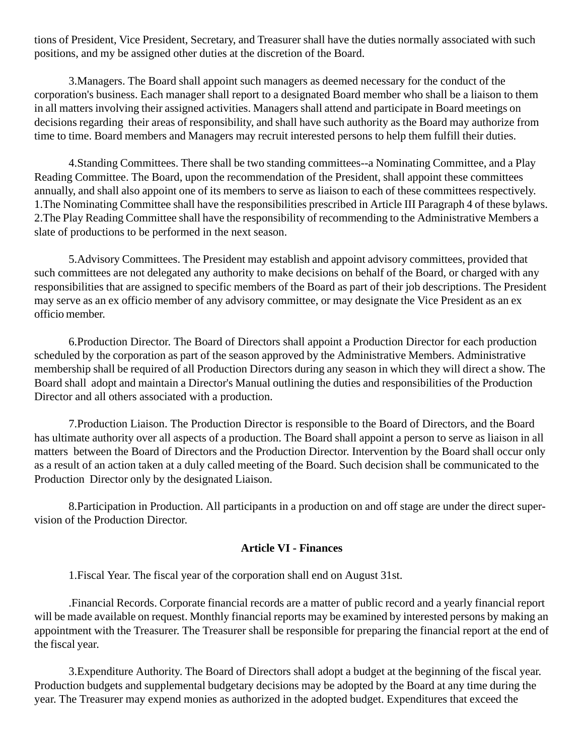tions of President, Vice President, Secretary, and Treasurer shall have the duties normally associated with such positions, and my be assigned other duties at the discretion of the Board.

3.Managers. The Board shall appoint such managers as deemed necessary for the conduct of the corporation's business. Each manager shall report to a designated Board member who shall be a liaison to them in all matters involving their assigned activities. Managers shall attend and participate in Board meetings on decisions regarding their areas of responsibility, and shall have such authority as the Board may authorize from time to time. Board members and Managers may recruit interested persons to help them fulfill their duties.

4.Standing Committees. There shall be two standing committees--a Nominating Committee, and a Play Reading Committee. The Board, upon the recommendation of the President, shall appoint these committees annually, and shall also appoint one of its members to serve as liaison to each of these committees respectively. 1.The Nominating Committee shall have the responsibilities prescribed in Article III Paragraph 4 of these bylaws. 2.The Play Reading Committee shall have the responsibility of recommending to the Administrative Members a slate of productions to be performed in the next season.

5.Advisory Committees. The President may establish and appoint advisory committees, provided that such committees are not delegated any authority to make decisions on behalf of the Board, or charged with any responsibilities that are assigned to specific members of the Board as part of their job descriptions. The President may serve as an ex officio member of any advisory committee, or may designate the Vice President as an ex officio member.

6.Production Director. The Board of Directors shall appoint a Production Director for each production scheduled by the corporation as part of the season approved by the Administrative Members. Administrative membership shall be required of all Production Directors during any season in which they will direct a show. The Board shall adopt and maintain a Director's Manual outlining the duties and responsibilities of the Production Director and all others associated with a production.

7.Production Liaison. The Production Director is responsible to the Board of Directors, and the Board has ultimate authority over all aspects of a production. The Board shall appoint a person to serve as liaison in all matters between the Board of Directors and the Production Director. Intervention by the Board shall occur only as a result of an action taken at a duly called meeting of the Board. Such decision shall be communicated to the Production Director only by the designated Liaison.

8.Participation in Production. All participants in a production on and off stage are under the direct supervision of the Production Director.

#### **Article VI - Finances**

1.Fiscal Year. The fiscal year of the corporation shall end on August 31st.

.Financial Records. Corporate financial records are a matter of public record and a yearly financial report will be made available on request. Monthly financial reports may be examined by interested persons by making an appointment with the Treasurer. The Treasurer shall be responsible for preparing the financial report at the end of the fiscal year.

3.Expenditure Authority. The Board of Directors shall adopt a budget at the beginning of the fiscal year. Production budgets and supplemental budgetary decisions may be adopted by the Board at any time during the year. The Treasurer may expend monies as authorized in the adopted budget. Expenditures that exceed the